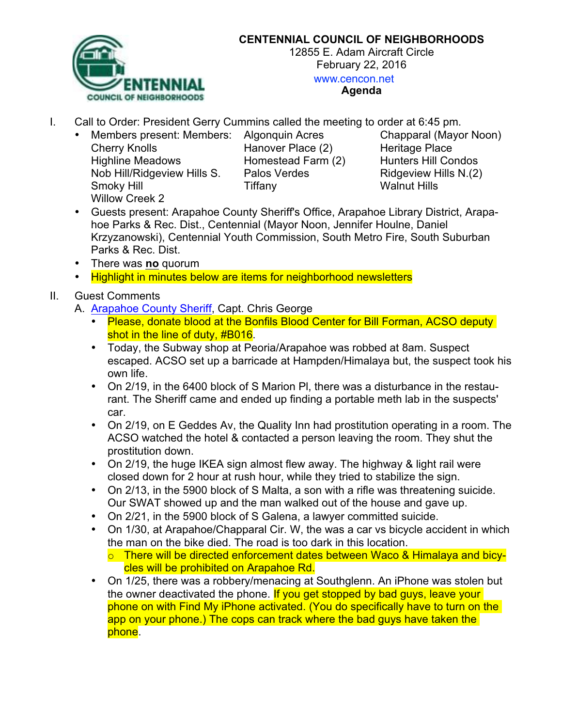

## **CENTENNIAL COUNCIL OF NEIGHBORHOODS**

12855 E. Adam Aircraft Circle February 22, 2016

[www.cencon.net](http://www.cencon.net)

**Agenda**

- I. Call to Order: President Gerry Cummins called the meeting to order at 6:45 pm.
	- Members present: Members: Algonquin Acres Chapparal (Mayor Noon)<br>Cherry Knolls Hanover Place (2) Heritage Place Cherry Knolls Hanover Place (2) Highline Meadows **Homestead Farm (2)** Hunters Hill Condos Nob Hill/Ridgeview Hills S. Palos Verdes Ridgeview Hills N.(2) Smoky Hill **Tiffany** Tiffany Walnut Hills Willow Creek 2

- Guests present: Arapahoe County Sheriff's Office, Arapahoe Library District, Arapahoe Parks & Rec. Dist., Centennial (Mayor Noon, Jennifer Houlne, Daniel Krzyzanowski), Centennial Youth Commission, South Metro Fire, South Suburban Parks & Rec. Dist.
- There was **no** quorum
- Highlight in minutes below are items for neighborhood newsletters

## II. Guest Comments

- A. [Arapahoe](http://www.arapahoesheriff.org) County Sheriff, Capt. Chris George
	- Please, donate blood at the Bonfils Blood Center for Bill Forman, ACSO deputy shot in the line of duty, #B016.
	- Today, the Subway shop at Peoria/Arapahoe was robbed at 8am. Suspect escaped. ACSO set up a barricade at Hampden/Himalaya but, the suspect took his own life.
	- On 2/19, in the 6400 block of S Marion Pl, there was a disturbance in the restaurant. The Sheriff came and ended up finding a portable meth lab in the suspects' car.
	- On 2/19, on E Geddes Av, the Quality Inn had prostitution operating in a room. The ACSO watched the hotel & contacted a person leaving the room. They shut the prostitution down.
	- On 2/19, the huge IKEA sign almost flew away. The highway & light rail were closed down for 2 hour at rush hour, while they tried to stabilize the sign.
	- On 2/13, in the 5900 block of S Malta, a son with a rifle was threatening suicide. Our SWAT showed up and the man walked out of the house and gave up.
	- On 2/21, in the 5900 block of S Galena, a lawyer committed suicide.
	- On 1/30, at Arapahoe/Chapparal Cir. W, the was a car vs bicycle accident in which the man on the bike died. The road is too dark in this location.
		- o There will be directed enforcement dates between Waco & Himalaya and bicycles will be prohibited on Arapahoe Rd.
	- On 1/25, there was a robbery/menacing at Southglenn. An iPhone was stolen but the owner deactivated the phone. If you get stopped by bad guys, leave your phone on with Find My iPhone activated. (You do specifically have to turn on the app on your phone.) The cops can track where the bad guys have taken the phone.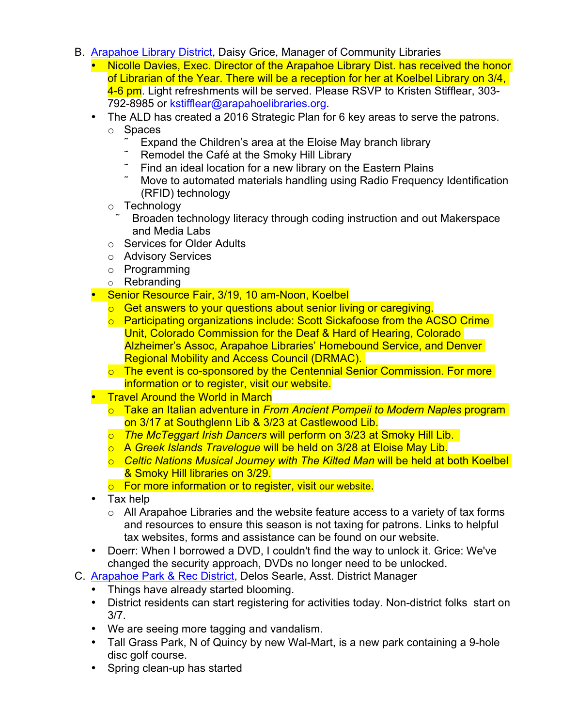- B. [Arapahoe](http://www.arapahoelibraries.org/) Library District, Daisy Grice, Manager of Community Libraries
	- Nicolle Davies, Exec. Director of the Arapahoe Library Dist. has received the honor of Librarian of the Year. There will be a reception for her at Koelbel Library on 3/4, 4-6 pm. Light refreshments will be served. Please RSVP to Kristen Stifflear, 303-792-8985 or kstifflear@arapahoelibraries.org.
	- The ALD has created a 2016 Strategic Plan for 6 key areas to serve the patrons.
		- o Spaces
			- Expand the Children's area at the Eloise May branch library
			- ˜ Remodel the Café at the Smoky Hill Library
			- Find an ideal location for a new library on the Eastern Plains
			- ˜ Move to automated materials handling using Radio Frequency Identification (RFID) technology
		- o Technology
			- Broaden technology literacy through coding instruction and out Makerspace and Media Labs
		- o Services for Older Adults
		- o Advisory Services
		- o Programming
		- o Rebranding
	- Senior Resource Fair, 3/19, 10 am-Noon, Koelbel
		- o Get answers to your questions about senior living or caregiving.
		- o Participating organizations include: Scott Sickafoose from the ACSO Crime Unit, Colorado Commission for the Deaf & Hard of Hearing, Colorado Alzheimer's Assoc, Arapahoe Libraries' Homebound Service, and Denver Regional Mobility and Access Council (DRMAC).
		- o The event is co-sponsored by the Centennial Senior Commission. For more information or to register, visit our website.
	- Travel Around the World in March
		- o Take an Italian adventure in *From Ancient Pompeii to Modern Naples* program on 3/17 at Southglenn Lib & 3/23 at Castlewood Lib.
		- o *The McTeggart Irish Dancers* will perform on 3/23 at Smoky Hill Lib.
		- o A *Greek Islands Travelogue* will be held on 3/28 at Eloise May Lib.
		- o *Celtic Nations Musical Journey with The Kilted Man* will be held at both Koelbel & Smoky Hill libraries on 3/29.
		- o For more information or to register, visit our website.
	- Tax help
		- $\circ$  All Arapahoe Libraries and the website feature access to a variety of tax forms and resources to ensure this season is not taxing for patrons. Links to helpful tax websites, forms and assistance can be found on our website.
	- Doerr: When I borrowed a DVD, I couldn't find the way to unlock it. Grice: We've changed the security approach, DVDs no longer need to be unlocked.
- C. Arapahoe [Park & Rec](http://www.aprd.org) District, Delos Searle, Asst. District Manager
	- Things have already started blooming.
	- District residents can start registering for activities today. Non-district folks start on 3/7.
	- We are seeing more tagging and vandalism.
	- Tall Grass Park, N of Quincy by new Wal-Mart, is a new park containing a 9-hole disc golf course.
	- Spring clean-up has started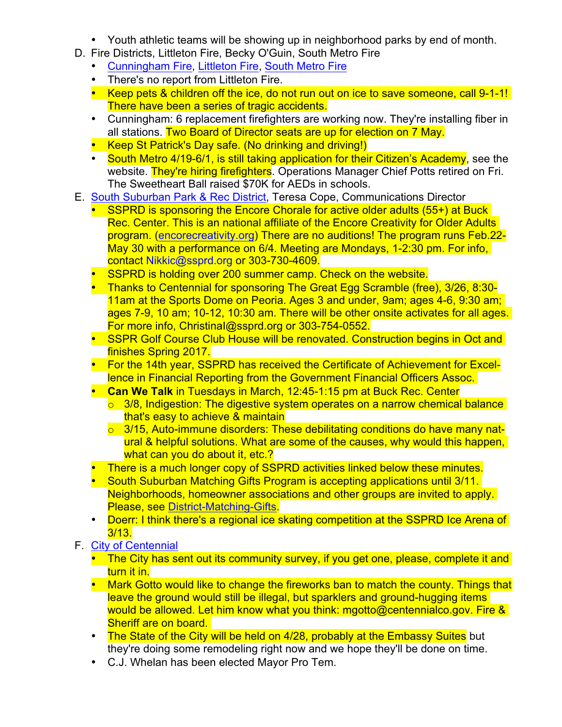- Youth athletic teams will be showing up in neighborhood parks by end of month.
- D. Fire Districts, Littleton Fire, Becky O'Guin, South Metro Fire
	- [Cunningham](http://www.cfpd.org) Fire, [Littleton](http://www.littletongov.org/fire) Fire, [South](http://www.southmetro.org) Metro Fire
	- There's no report from Littleton Fire.
	- Keep pets & children off the ice, do not run out on ice to save someone, call 9-1-1! There have been a series of tragic accidents.
	- Cunningham: 6 replacement firefighters are working now. They're installing fiber in all stations. Two Board of Director seats are up for election on 7 May.
	- Keep St Patrick's Day safe. (No drinking and driving!)
	- South Metro 4/19-6/1, is still taking application for their Citizen's Academy, see the website. They're hiring firefighters. Operations Manager Chief Potts retired on Fri. The Sweetheart Ball raised \$70K for AEDs in schools.
- E. South Suburban [Park & Rec](http://www.SSPR.org) District, Teresa Cope, Communications Director
	- SSPRD is sponsoring the Encore Chorale for active older adults (55+) at Buck Rec. Center. This is an national affiliate of the Encore Creativity for Older Adults program. ([encorecreativity.org\)](http://encorecreativity.org) There are no auditions! The program runs Feb.22- May 30 with a performance on 6/4. Meeting are Mondays, 1-2:30 pm. For info, contact Nikkic@ssprd.org or 303-730-4609.
	- SSPRD is holding over 200 summer camp. Check on the website.
	- Thanks to Centennial for sponsoring The Great Egg Scramble (free), 3/26, 8:30-11am at the Sports Dome on Peoria. Ages 3 and under, 9am; ages 4-6, 9:30 am; ages 7-9, 10 am; 10-12, 10:30 am. There will be other onsite activates for all ages. For more info, ChristinaI@ssprd.org or 303-754-0552.
	- SSPR Golf Course Club House will be renovated. Construction begins in Oct and finishes Spring 2017.
	- For the 14th year, SSPRD has received the Certificate of Achievement for Excellence in Financial Reporting from the Government Financial Officers Assoc.
	- **Can We Talk** in Tuesdays in March, 12:45-1:15 pm at Buck Rec. Center
		- $\circ$  3/8, Indigestion: The digestive system operates on a narrow chemical balance that's easy to achieve & maintain
		- $\circ$  3/15, Auto-immune disorders: These debilitating conditions do have many natural & helpful solutions. What are some of the causes, why would this happen, what can you do about it, etc.?
	- There is a much longer copy of SSPRD activities linked below these minutes.
	- South Suburban Matching Gifts Program is accepting applications until 3/11. Neighborhoods, homeowner associations and other groups are invited to apply. Please, see [District-Matching-Gifts](http://bit.ly/District-Matching-Gifts).
	- Doerr: I think there's a regional ice skating competition at the SSPRD Ice Arena of 3/13.
- F. City of [Centennial](http://www.centennialco.gov)
	- The City has sent out its community survey, if you get one, please, complete it and turn it in.
	- Mark Gotto would like to change the fireworks ban to match the county. Things that leave the ground would still be illegal, but sparklers and ground-hugging items would be allowed. Let him know what you think: mgotto@centennialco.gov. Fire & Sheriff are on board.
	- The State of the City will be held on 4/28, probably at the Embassy Suites but they're doing some remodeling right now and we hope they'll be done on time.
	- C.J. Whelan has been elected Mayor Pro Tem.